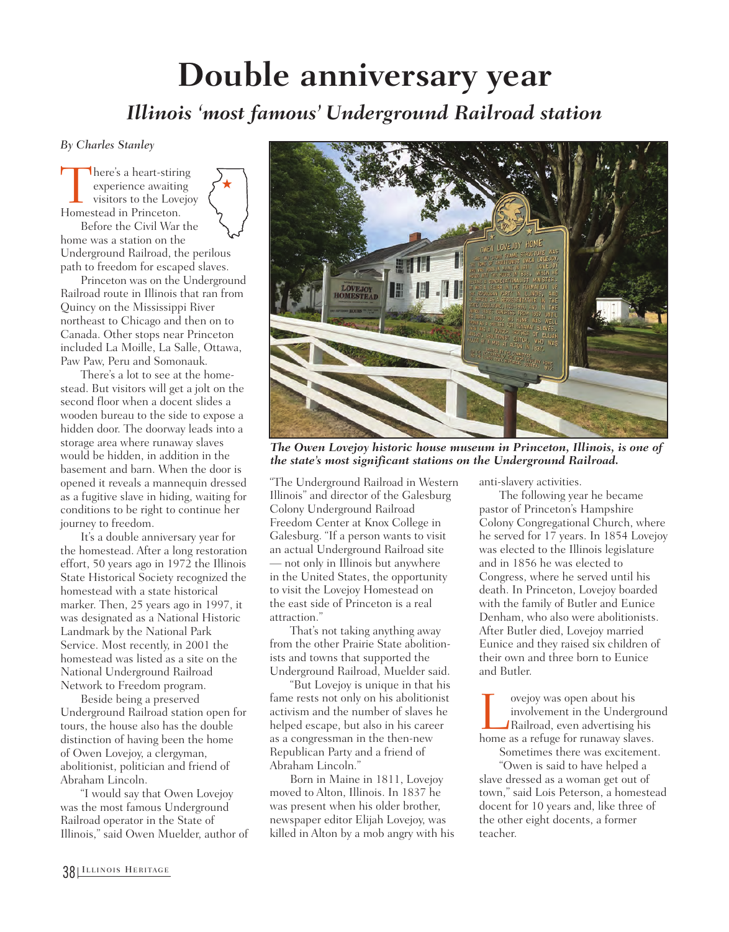## **Double anniversary year**

## *Illinois 'most famous' Underground Railroad station*

*By Charles Stanley*

There's a heart-stiring<br>
experience awaiting<br>
visitors to the Lovejo<br>
Homestead in Princeton. experience awaiting visitors to the Lovejoy



Before the Civil War the home was a station on the Underground Railroad, the perilous path to freedom for escaped slaves.

Princeton was on the Underground Railroad route in Illinois that ran from Quincy on the Mississippi River northeast to Chicago and then on to Canada. Other stops near Princeton included La Moille, La Salle, Ottawa, Paw Paw, Peru and Somonauk.

There's a lot to see at the homestead. But visitors will get a jolt on the second floor when a docent slides a wooden bureau to the side to expose a hidden door. The doorway leads into a storage area where runaway slaves would be hidden, in addition in the basement and barn. When the door is opened it reveals a mannequin dressed as a fugitive slave in hiding, waiting for conditions to be right to continue her journey to freedom.

It's a double anniversary year for the homestead. After a long restoration effort, 50 years ago in 1972 the Illinois State Historical Society recognized the homestead with a state historical marker. Then, 25 years ago in 1997, it was designated as a National Historic Landmark by the National Park Service. Most recently, in 2001 the homestead was listed as a site on the National Underground Railroad Network to Freedom program.

Beside being a preserved Underground Railroad station open for tours, the house also has the double distinction of having been the home of Owen Lovejoy, a clergyman, abolitionist, politician and friend of Abraham Lincoln.

"I would say that Owen Lovejoy was the most famous Underground Railroad operator in the State of Illinois," said Owen Muelder, author of



*The Owen Lovejoy historic house museum in Princeton, Illinois, is one of the state's most significant stations on the Underground Railroad.* 

"The Underground Railroad in Western Illinois" and director of the Galesburg Colony Underground Railroad Freedom Center at Knox College in Galesburg. "If a person wants to visit an actual Underground Railroad site — not only in Illinois but anywhere in the United States, the opportunity to visit the Lovejoy Homestead on the east side of Princeton is a real attraction."

That's not taking anything away from the other Prairie State abolitionists and towns that supported the Underground Railroad, Muelder said.

"But Lovejoy is unique in that his fame rests not only on his abolitionist activism and the number of slaves he helped escape, but also in his career as a congressman in the then-new Republican Party and a friend of Abraham Lincoln."

Born in Maine in 1811, Lovejoy moved to Alton, Illinois. In 1837 he was present when his older brother, newspaper editor Elijah Lovejoy, was killed in Alton by a mob angry with his anti-slavery activities.

The following year he became pastor of Princeton's Hampshire Colony Congregational Church, where he served for 17 years. In 1854 Lovejoy was elected to the Illinois legislature and in 1856 he was elected to Congress, where he served until his death. In Princeton, Lovejoy boarded with the family of Butler and Eunice Denham, who also were abolitionists. After Butler died, Lovejoy married Eunice and they raised six children of their own and three born to Eunice and Butler.

Lovejoy was open about his home as a refuge for runaway slaves. involvement in the Underground Railroad, even advertising his Sometimes there was excitement.

"Owen is said to have helped a slave dressed as a woman get out of town," said Lois Peterson, a homestead docent for 10 years and, like three of the other eight docents, a former teacher.